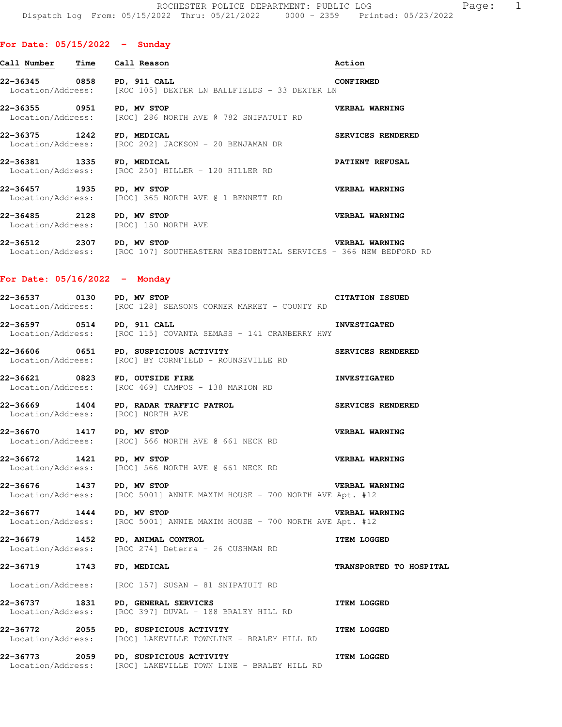| Call Number                        | Time | Call Reason                                                                     | Action            |
|------------------------------------|------|---------------------------------------------------------------------------------|-------------------|
| 22-36345                           | 0858 | PD, 911 CALL<br>Location/Address: [ROC 105] DEXTER LN BALLFIELDS - 33 DEXTER LN | <b>CONFIRMED</b>  |
| 22-36355    0951                   |      | PD, MV STOP<br>Location/Address: [ROC] 286 NORTH AVE @ 782 SNIPATUIT RD         | VERBAL WARNING    |
| 22-36375 1242<br>Location/Address: |      | FD, MEDICAL<br>[ROC 202] JACKSON - 20 BENJAMAN DR                               | SERVICES RENDERED |
| 22-36381 1335<br>Location/Address: |      | FD, MEDICAL<br>[ROC 250] HILLER - 120 HILLER RD                                 | PATIENT REFUSAL   |
| 22-36457 1935                      |      | PD, MV STOP<br>Location/Address: [ROC] 365 NORTH AVE @ 1 BENNETT RD             | VERBAL WARNING    |

**22-36485 2128 PD, MV STOP VERBAL WARNING**  Location/Address: [ROC] 150 NORTH AVE

**22-36512 2307 PD, MV STOP VERBAL WARNING**  Location/Address: [ROC 107] SOUTHEASTERN RESIDENTIAL SERVICES - 366 NEW BEDFORD RD

## **For Date: 05/16/2022 - Monday**

| 22-36537          | 0130 | PD, MV STOP                                 | <b>CITATION ISSUED</b> |
|-------------------|------|---------------------------------------------|------------------------|
| Location/Address: |      | [ROC 128] SEASONS CORNER MARKET – COUNTY RD |                        |

**22-36597 0514 PD, 911 CALL INVESTIGATED**  Location/Address: [ROC 115] COVANTA SEMASS - 141 CRANBERRY HWY

**22-36606 0651 PD, SUSPICIOUS ACTIVITY SERVICES RENDERED**  Location/Address: [ROC] BY CORNFIELD - ROUNSEVILLE RD

**22-36621 0823 FD, OUTSIDE FIRE INVESTIGATED**  Location/Address: [ROC 469] CAMPOS - 138 MARION RD

**22-36669 1404 PD, RADAR TRAFFIC PATROL SERVICES RENDERED**  Location/Address:

**22-36670 1417 PD, MV STOP VERBAL WARNING**  Location/Address: [ROC] 566 NORTH AVE @ 661 NECK RD

**22-36672 1421 PD, MV STOP 125 OBSET ALL POST AND READ USING VERBAL WARNING**<br>
Location/Address: [ROC] 566 NORTH AVE @ 661 NECK RD [ROC] 566 NORTH AVE @ 661 NECK RD

**22-36676 1437 PD, MV STOP VERBAL WARNING**  Location/Address: [ROC 5001] ANNIE MAXIM HOUSE - 700 NORTH AVE Apt. #12

**22-36677 1444 PD, MV STOP VERBAL WARNING**  Location/Address: [ROC 5001] ANNIE MAXIM HOUSE - 700 NORTH AVE Apt. #12

**22-36679 1452 PD, ANIMAL CONTROL ITEM LOGGED**  Location/Address: [ROC 274] Deterra - 26 CUSHMAN RD

**22-36719 1743 FD, MEDICAL TRANSPORTED TO HOSPITAL** 

Location/Address: [ROC 157] SUSAN - 81 SNIPATUIT RD

**22-36737 1831 PD, GENERAL SERVICES ITEM LOGGED**  Location/Address: [ROC 397] DUVAL - 188 BRALEY HILL RD

**22-36772 2055 PD, SUSPICIOUS ACTIVITY ITEM LOGGED**  Location/Address: [ROC] LAKEVILLE TOWNLINE - BRALEY HILL RD

**22-36773 2059 PD, SUSPICIOUS ACTIVITY ITEM LOGGED**  Location/Address: [ROC] LAKEVILLE TOWN LINE - BRALEY HILL RD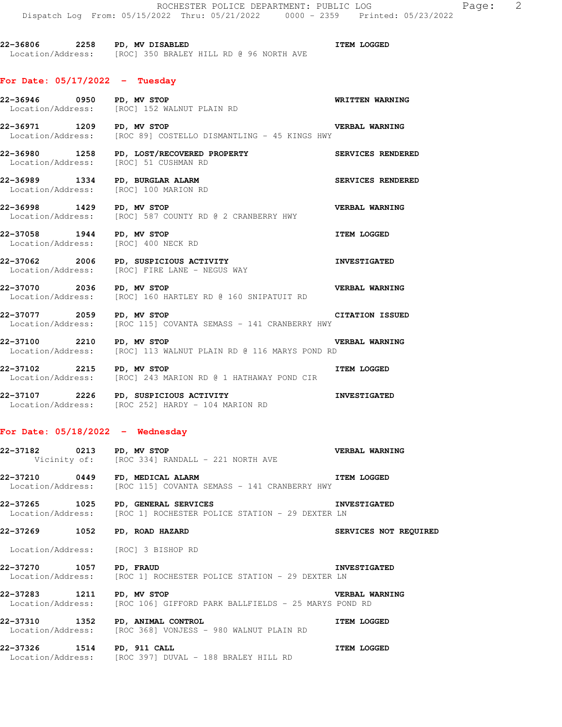**22-36806 2258 PD, MV DISABLED ITEM LOGGED**  Location/Address: [ROC] 350 BRALEY HILL RD @ 96 NORTH AVE

## **For Date: 05/17/2022 - Tuesday**

|                                       | 22-36946 0950 PD, MV STOP<br>Location/Address: [ROC] 152 WALNUT PLAIN RD<br>Location/Address: [ROC] 152 WALNUT PLAIN RD             |                       |
|---------------------------------------|-------------------------------------------------------------------------------------------------------------------------------------|-----------------------|
| 22-36971 1209 PD, MV STOP             | Location/Address: [ROC 89] COSTELLO DISMANTLING - 45 KINGS HWY                                                                      | <b>VERBAL WARNING</b> |
| Location/Address: [ROC] 51 CUSHMAN RD | 22-36980 1258 PD, LOST/RECOVERED PROPERTY SERVICES RENDERED                                                                         |                       |
|                                       | 22-36989 1334 PD, BURGLAR ALARM SERVICES RENDERED<br>Location/Address: [ROC] 100 MARION RD<br>Location/Address: [ROC] 100 MARION RD |                       |
| 22-36998 1429 PD, MV STOP             | Location/Address: [ROC] 587 COUNTY RD @ 2 CRANBERRY HWY                                                                             | <b>VERBAL WARNING</b> |
| 22-37058 1944 PD, MV STOP             | Location/Address: [ROC] 400 NECK RD<br>Location/Address: [ROC] 400 NECK RD                                                          | <b>ITEM LOGGED</b>    |
|                                       | 22-37062 2006 PD, SUSPICIOUS ACTIVITY MESTIGATED<br>Location/Address: [ROC] FIRE LANE - NEGUS WAY                                   |                       |
| 22-37070 2036 PD, MV STOP             | <b>VERBAL WARNING</b><br>Location/Address: [ROC] 160 HARTLEY RD @ 160 SNIPATUIT RD                                                  |                       |
| 22-37077 2059 PD, MV STOP             | Location/Address: [ROC 115] COVANTA SEMASS - 141 CRANBERRY HWY                                                                      | CITATION ISSUED       |
| 22-37100 2210 PD, MV STOP             | Location/Address: [ROC] 113 WALNUT PLAIN RD @ 116 MARYS POND RD                                                                     | VERBAL WARNING        |
| 22-37102 2215 PD, MV STOP             | <b>ITEM LOGGED</b><br>Location/Address: [ROC] 243 MARION RD @ 1 HATHAWAY POND CIR                                                   |                       |
|                                       | 22-37107 2226 PD, SUSPICIOUS ACTIVITY<br>Location/Address: [ROC 252] HARDY - 104 MARION RD                                          |                       |

## **For Date: 05/18/2022 - Wednesday**

|                               | 22-37182 0213 PD, MV STOP 22-37182 WERBAL WARNING<br>Vicinity of: [ROC 334] RANDALL - 221 NORTH AVE                         |                              |
|-------------------------------|-----------------------------------------------------------------------------------------------------------------------------|------------------------------|
|                               | 22-37210 0449 FD, MEDICAL ALARM NERRA STREM LOGGED<br>Location/Address: [ROC 115] COVANTA SEMASS - 141 CRANBERRY HWY        |                              |
|                               | 22-37265 1025 PD, GENERAL SERVICES NEROLA ENVESTIGATED<br>Location/Address: [ROC 1] ROCHESTER POLICE STATION - 29 DEXTER LN |                              |
| 22-37269 1052 PD, ROAD HAZARD |                                                                                                                             | <b>SERVICES NOT REQUIRED</b> |
|                               | Location/Address: [ROC] 3 BISHOP RD                                                                                         |                              |
| 22-37270 1057 PD, FRAUD       | <b>EXECUTED INVESTIGATED</b><br>Location/Address: [ROC 1] ROCHESTER POLICE STATION - 29 DEXTER LN                           |                              |
| 22-37283 1211 PD, MV STOP     | <b>EXERBAL WARNING</b><br>Location/Address: [ROC 106] GIFFORD PARK BALLFIELDS - 25 MARYS POND RD                            |                              |
|                               | 22-37310 1352 PD, ANIMAL CONTROL NUMBER OF THEM LOGGED<br>Location/Address: [ROC 368] VONJESS - 980 WALNUT PLAIN RD         |                              |

**22-37326 1514 PD, 911 CALL ITEM LOGGED**  Location/Address: [ROC 397] DUVAL - 188 BRALEY HILL RD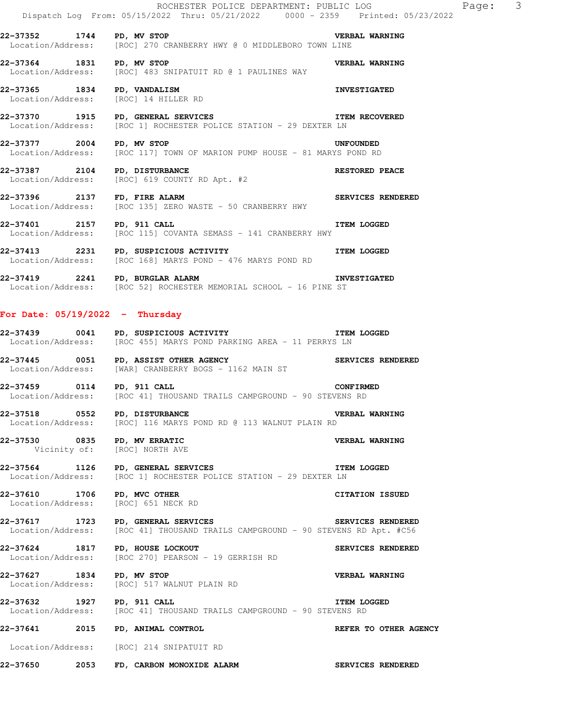**22-37352 1744 PD, MV STOP VERBAL WARNING**  Location/Address: [ROC] 270 CRANBERRY HWY @ 0 MIDDLEBORO TOWN LINE

**22-37364 1831 PD, MV STOP VERBAL WARNING**  Location/Address: [ROC] 483 SNIPATUIT RD @ 1 PAULINES WAY

**22-37365 1834 PD, VANDALISM INVESTIGATED**  Location/Address: [ROC] 14 HILLER RD

**22-37370 1915 PD, GENERAL SERVICES ITEM RECOVERED**  [ROC 1] ROCHESTER POLICE STATION - 29 DEXTER LN

**22-37377 2004 PD, MV STOP UNFOUNDED**  [ROC 117] TOWN OF MARION PUMP HOUSE - 81 MARYS POND RD

**22-37387 2104 PD, DISTURBANCE RESTORED PEACE**  Location/Address: [ROC] 619 COUNTY RD Apt. #2

**22-37396 2137 FD, FIRE ALARM SERVICES RENDERED**  Location/Address: [ROC 135] ZERO WASTE - 50 CRANBERRY HWY

**22-37401 2157 PD, 911 CALL ITEM LOGGED**  Location/Address: [ROC 115] COVANTA SEMASS - 141 CRANBERRY HWY

**22-37413** 2231 PD, SUSPICIOUS ACTIVITY **ITEM LOGGED** Location/Address: [ROC 168] MARYS POND - 476 MARYS POND RD

**22-37419 2241 PD, BURGLAR ALARM INVESTIGATED**  Location/Address: [ROC 52] ROCHESTER MEMORIAL SCHOOL - 16 PINE ST

## **For Date: 05/19/2022 - Thursday**

**22-37439 0041 PD, SUSPICIOUS ACTIVITY ITEM LOGGED**  Location/Address: [ROC 455] MARYS POND PARKING AREA - 11 PERRYS LN

**22-37445 0051 PD, ASSIST OTHER AGENCY SERVICES RENDERED**  Location/Address: [WAR] CRANBERRY BOGS - 1162 MAIN ST

**22-37459 0114 PD, 911 CALL CONFIRMED**<br>Location/Address: [ROC 41] THOUSAND TRAILS CAMPGROUND - 90 STEVENS RD [ROC 41] THOUSAND TRAILS CAMPGROUND - 90 STEVENS RD

**22-37518 0552 PD, DISTURBANCE VERBAL WARNING**  Location/Address: [ROC] 116 MARYS POND RD @ 113 WALNUT PLAIN RD

**22-37530 0835 PD, MV ERRATIC VERBAL WARNING**  Vicinity of: [ROC] NORTH AVE

**22-37564 1126 PD, GENERAL SERVICES ITEM LOGGED**  Location/Address: [ROC 1] ROCHESTER POLICE STATION - 29 DEXTER LN

**22-37610 1706 PD, MVC OTHER CITATION ISSUED**  Location/Address: [ROC] 651 NECK RD

**22-37617 1723 PD, GENERAL SERVICES SERVICES RENDERED**  Location/Address: [ROC 41] THOUSAND TRAILS CAMPGROUND - 90 STEVENS RD Apt. #C56

22-37624 1817 PD, HOUSE LOCKOUT **SERVICES RENDERED** Location/Address: [ROC 270] PEARSON - 19 GERRISH RD

**22-37627 1834 PD, MV STOP VERBAL WARNING**  Location/Address: [ROC] 517 WALNUT PLAIN RD

**22-37632 1927 PD, 911 CALL 1088 PROBED**<br>Location/Address: [ROC 41] THOUSAND TRAILS CAMPGROUND - 90 STEVENS RD [ROC 41] THOUSAND TRAILS CAMPGROUND - 90 STEVENS RD

**22-37641 2015 PD, ANIMAL CONTROL REFER TO OTHER AGENCY** 

Location/Address: [ROC] 214 SNIPATUIT RD

**22-37650 2053 FD, CARBON MONOXIDE ALARM SERVICES RENDERED**